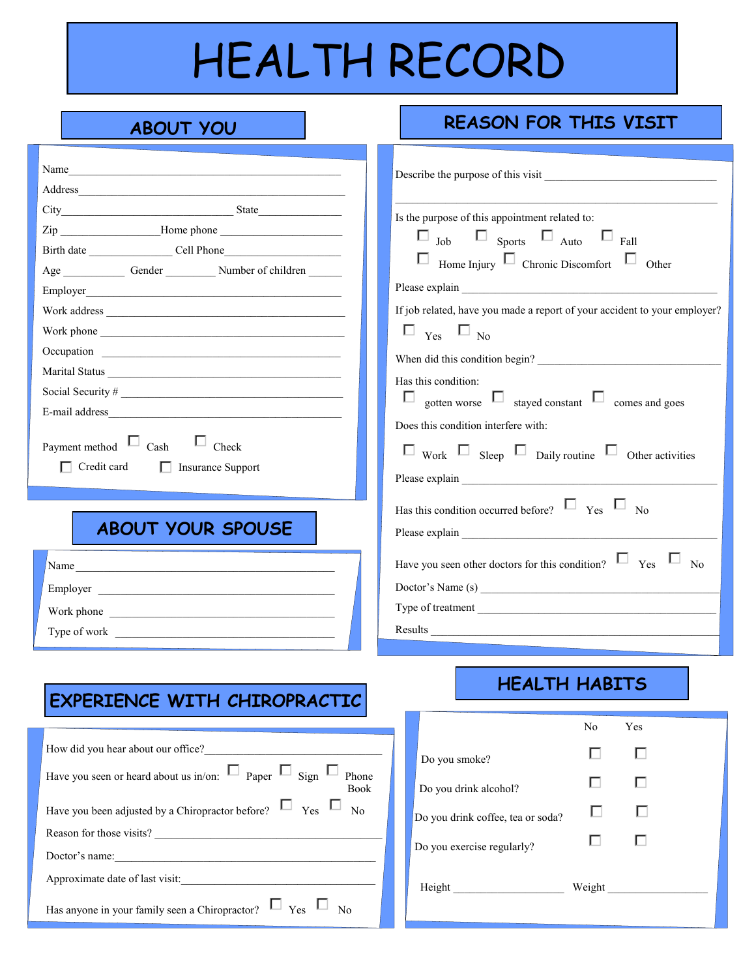# HEALTH RECORD

### **ABOUT YOU REASON FOR THIS VISIT**

| Name<br>Age Gender Number of children<br>Employer<br>Marital Status                      | Is the purpose of this appointment related to:<br>$\square$ Job $\square$ Sports $\square$ Auto $\square$ Fall<br>$\Box$ Home Injury $\Box$ Chronic Discomfort $\Box$ Other<br>If job related, have you made a report of your accident to your employer?<br>$\square$ <sub>Yes</sub> $\square$ <sub>No</sub><br>When did this condition begin?<br>Has this condition:<br>$\Box$ gotten worse $\Box$ stayed constant $\Box$ comes and goes<br>Does this condition interfere with: |
|------------------------------------------------------------------------------------------|----------------------------------------------------------------------------------------------------------------------------------------------------------------------------------------------------------------------------------------------------------------------------------------------------------------------------------------------------------------------------------------------------------------------------------------------------------------------------------|
| Payment method $\Box$ Cash $\Box$ Check<br>$\Box$ Credit card<br><b>Exercise</b> Support | $\square$ Work $\square$ Sleep $\square$ Daily routine $\square$ Other activities                                                                                                                                                                                                                                                                                                                                                                                                |
|                                                                                          |                                                                                                                                                                                                                                                                                                                                                                                                                                                                                  |
| <b>ABOUT YOUR SPOUSE</b>                                                                 | Has this condition occurred before? $\Box$ Yes $\Box$ No                                                                                                                                                                                                                                                                                                                                                                                                                         |
|                                                                                          |                                                                                                                                                                                                                                                                                                                                                                                                                                                                                  |
| Name                                                                                     | Have you seen other doctors for this condition? $\Box$ Yes $\Box$ No                                                                                                                                                                                                                                                                                                                                                                                                             |
| Employer                                                                                 | Doctor's Name (s)                                                                                                                                                                                                                                                                                                                                                                                                                                                                |
| Work phone                                                                               | Type of treatment                                                                                                                                                                                                                                                                                                                                                                                                                                                                |
|                                                                                          |                                                                                                                                                                                                                                                                                                                                                                                                                                                                                  |

#### **EXPERIENCE WITH CHIROPRACTIC**

|                                 | How did you hear about our office?                                                          |
|---------------------------------|---------------------------------------------------------------------------------------------|
|                                 | Have you seen or heard about us in/on: $\Box$ Paper $\Box$ Sign $\Box$ Phone<br><b>Book</b> |
|                                 | Have you been adjusted by a Chiropractor before? $\Box$ Yes $\Box$                          |
|                                 | Reason for those visits?                                                                    |
|                                 | Doctor's name:                                                                              |
| Approximate date of last visit: |                                                                                             |
|                                 | $\Box$ Yes $\Box$ No<br>Has anyone in your family seen a Chiropractor?                      |

#### **HEALTH HABITS**

|                                   | No     | Yes |  |
|-----------------------------------|--------|-----|--|
| Do you smoke?                     | L      | ш   |  |
| Do you drink alcohol?             |        | ш   |  |
| Do you drink coffee, tea or soda? |        |     |  |
| Do you exercise regularly?        |        |     |  |
| Height                            | Weight |     |  |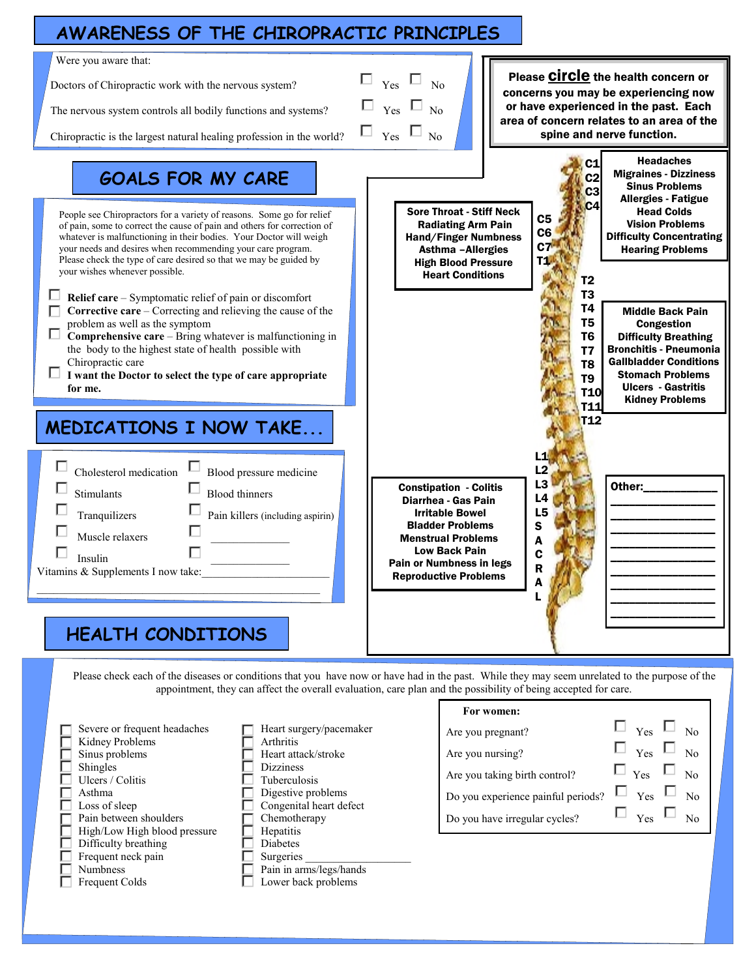#### **AWARENESS OF THE CHIROPRACTIC PRINCIPLES**



appointment, they can affect the overall evaluation, care plan and the possibility of being accepted for care.

**For women:**

| Severe or frequent headaches | Heart surgery/pacemaker | Are you pregnant?                  | Yes<br>No             |
|------------------------------|-------------------------|------------------------------------|-----------------------|
| Kidney Problems              | Arthritis               |                                    |                       |
| Sinus problems               | Heart attack/stroke     | Are you nursing?                   | Yes<br>No             |
| Shingles                     | <b>Dizziness</b>        |                                    |                       |
| Ulcers / Colitis             | Tuberculosis            | Are you taking birth control?      | Yes<br>No             |
| Asthma                       | Digestive problems      | Do you experience painful periods? | N <sub>0</sub><br>Yes |
| Loss of sleep                | Congenital heart defect |                                    |                       |
| Pain between shoulders       | Chemotherapy            | Do you have irregular cycles?      | Yes<br>No             |
| High/Low High blood pressure | <b>Hepatitis</b>        |                                    |                       |
| Difficulty breathing         | <b>Diabetes</b>         |                                    |                       |
| Frequent neck pain           | Surgeries               |                                    |                       |
| <b>Numbness</b>              | Pain in arms/legs/hands |                                    |                       |
| Frequent Colds               | Lower back problems     |                                    |                       |
|                              |                         |                                    |                       |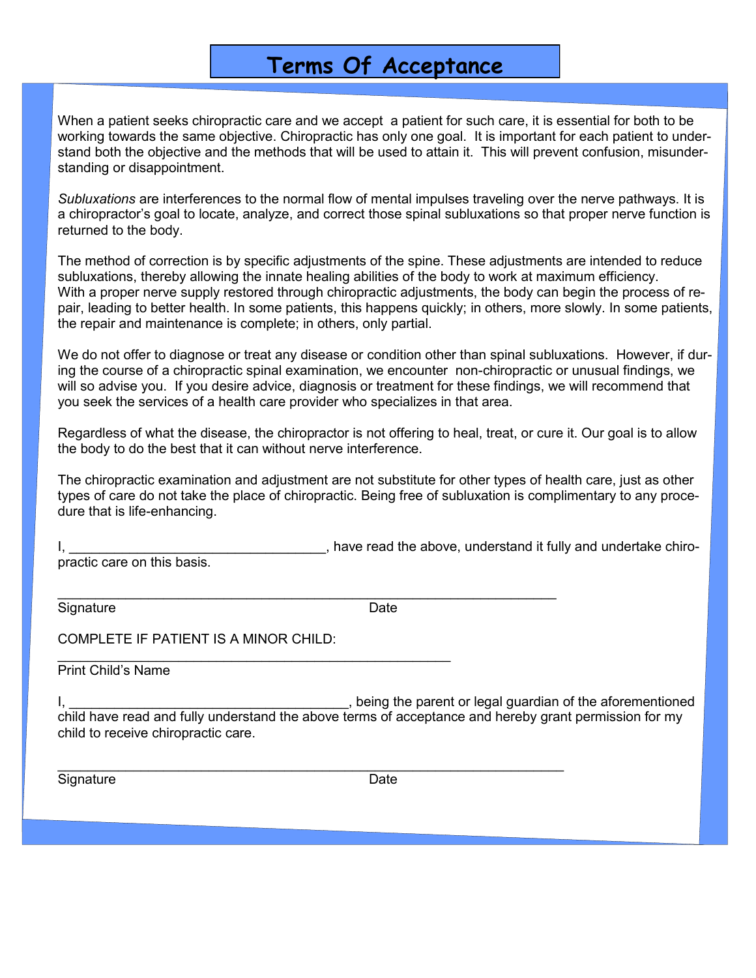#### **Terms Of Acceptance**

When a patient seeks chiropractic care and we accept a patient for such care, it is essential for both to be working towards the same objective. Chiropractic has only one goal. It is important for each patient to understand both the objective and the methods that will be used to attain it. This will prevent confusion, misunderstanding or disappointment.

*Subluxations* are interferences to the normal flow of mental impulses traveling over the nerve pathways. It is a chiropractor's goal to locate, analyze, and correct those spinal subluxations so that proper nerve function is returned to the body.

The method of correction is by specific adjustments of the spine. These adjustments are intended to reduce subluxations, thereby allowing the innate healing abilities of the body to work at maximum efficiency. With a proper nerve supply restored through chiropractic adjustments, the body can begin the process of repair, leading to better health. In some patients, this happens quickly; in others, more slowly. In some patients, the repair and maintenance is complete; in others, only partial.

We do not offer to diagnose or treat any disease or condition other than spinal subluxations. However, if during the course of a chiropractic spinal examination, we encounter non-chiropractic or unusual findings, we will so advise you. If you desire advice, diagnosis or treatment for these findings, we will recommend that you seek the services of a health care provider who specializes in that area.

Regardless of what the disease, the chiropractor is not offering to heal, treat, or cure it. Our goal is to allow the body to do the best that it can without nerve interference.

The chiropractic examination and adjustment are not substitute for other types of health care, just as other types of care do not take the place of chiropractic. Being free of subluxation is complimentary to any procedure that is life-enhancing.

, have read the above, understand it fully and undertake chiropractic care on this basis.

Signature Date Date

\_\_\_\_\_\_\_\_\_\_\_\_\_\_\_\_\_\_\_\_\_\_\_\_\_\_\_\_\_\_\_\_\_\_\_\_\_\_\_\_\_\_\_\_\_\_\_\_\_\_\_\_\_\_\_\_\_\_\_\_\_\_\_\_\_\_

COMPLETE IF PATIENT IS A MINOR CHILD:

\_\_\_\_\_\_\_\_\_\_\_\_\_\_\_\_\_\_\_\_\_\_\_\_\_\_\_\_\_\_\_\_\_\_\_\_\_\_\_\_\_\_\_\_\_\_\_\_\_\_\_\_

Print Child's Name

I, the contract of the parent or legal guardian of the aforementioned in the aforementioned child have read and fully understand the above terms of acceptance and hereby grant permission for my child to receive chiropractic care.

\_\_\_\_\_\_\_\_\_\_\_\_\_\_\_\_\_\_\_\_\_\_\_\_\_\_\_\_\_\_\_\_\_\_\_\_\_\_\_\_\_\_\_\_\_\_\_\_\_\_\_\_\_\_\_\_\_\_\_\_\_\_\_\_\_\_\_

Signature Date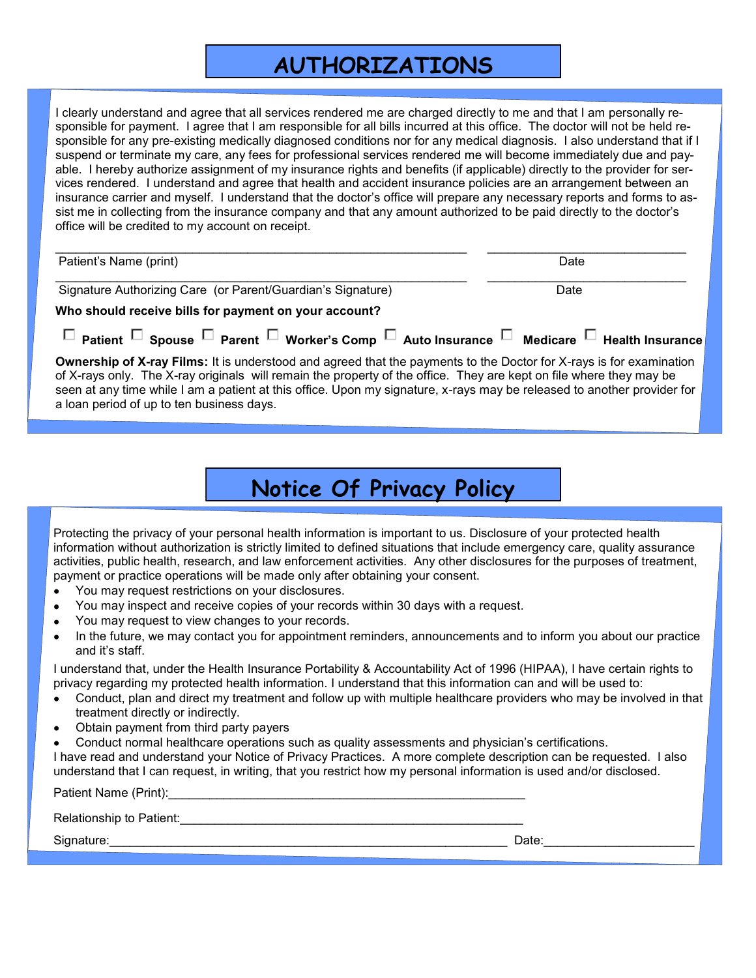## **AUTHORIZATIONS**

I clearly understand and agree that all services rendered me are charged directly to me and that I am personally responsible for payment. I agree that I am responsible for all bills incurred at this office. The doctor will not be held responsible for any pre-existing medically diagnosed conditions nor for any medical diagnosis. I also understand that if I suspend or terminate my care, any fees for professional services rendered me will become immediately due and payable. I hereby authorize assignment of my insurance rights and benefits (if applicable) directly to the provider for services rendered. I understand and agree that health and accident insurance policies are an arrangement between an insurance carrier and myself. I understand that the doctor's office will prepare any necessary reports and forms to assist me in collecting from the insurance company and that any amount authorized to be paid directly to the doctor's office will be credited to my account on receipt.

| Patient's Name (print)                                                                                                                                                                                                                                                                                                                                                                                                    | Date |
|---------------------------------------------------------------------------------------------------------------------------------------------------------------------------------------------------------------------------------------------------------------------------------------------------------------------------------------------------------------------------------------------------------------------------|------|
| Signature Authorizing Care (or Parent/Guardian's Signature)                                                                                                                                                                                                                                                                                                                                                               | Date |
| Who should receive bills for payment on your account?                                                                                                                                                                                                                                                                                                                                                                     |      |
| $\Box$ Patient $\Box$ Spouse $\Box$ Parent $\Box$ Worker's Comp $\Box$ Auto Insurance $\Box$ Medicare $\Box$ Health Insurance                                                                                                                                                                                                                                                                                             |      |
| <b>Ownership of X-ray Films:</b> It is understood and agreed that the payments to the Doctor for X-rays is for examination<br>of X-rays only. The X-ray originals will remain the property of the office. They are kept on file where they may be<br>seen at any time while I am a patient at this office. Upon my signature, x-rays may be released to another provider for<br>a loan period of up to ten business days. |      |

# **Notice Of Privacy Policy**

Protecting the privacy of your personal health information is important to us. Disclosure of your protected health information without authorization is strictly limited to defined situations that include emergency care, quality assurance activities, public health, research, and law enforcement activities. Any other disclosures for the purposes of treatment, payment or practice operations will be made only after obtaining your consent.

- You may request restrictions on your disclosures.  $\bullet$
- You may inspect and receive copies of your records within 30 days with a request.
- You may request to view changes to your records.  $\bullet$
- In the future, we may contact you for appointment reminders, announcements and to inform you about our practice and it's staff.

I understand that, under the Health Insurance Portability & Accountability Act of 1996 (HIPAA), I have certain rights to privacy regarding my protected health information. I understand that this information can and will be used to:

- Conduct, plan and direct my treatment and follow up with multiple healthcare providers who may be involved in that  $\bullet$ treatment directly or indirectly.
- Obtain payment from third party payers  $\bullet$
- Conduct normal healthcare operations such as quality assessments and physician's certifications.
- I have read and understand your Notice of Privacy Practices. A more complete description can be requested. I also understand that I can request, in writing, that you restrict how my personal information is used and/or disclosed.

Patient Name (Print):

Relationship to Patient:\_\_\_\_\_\_\_\_\_\_\_\_\_\_\_\_\_\_\_\_\_\_\_\_\_\_\_\_\_\_\_\_\_\_\_\_\_\_\_\_\_\_\_\_\_\_\_\_\_\_

Signature: et al. 2010 and 2010 and 2010 and 2010 and 2010 and 2010 and 2010 and 2010 and 2010 and 2010 and 20